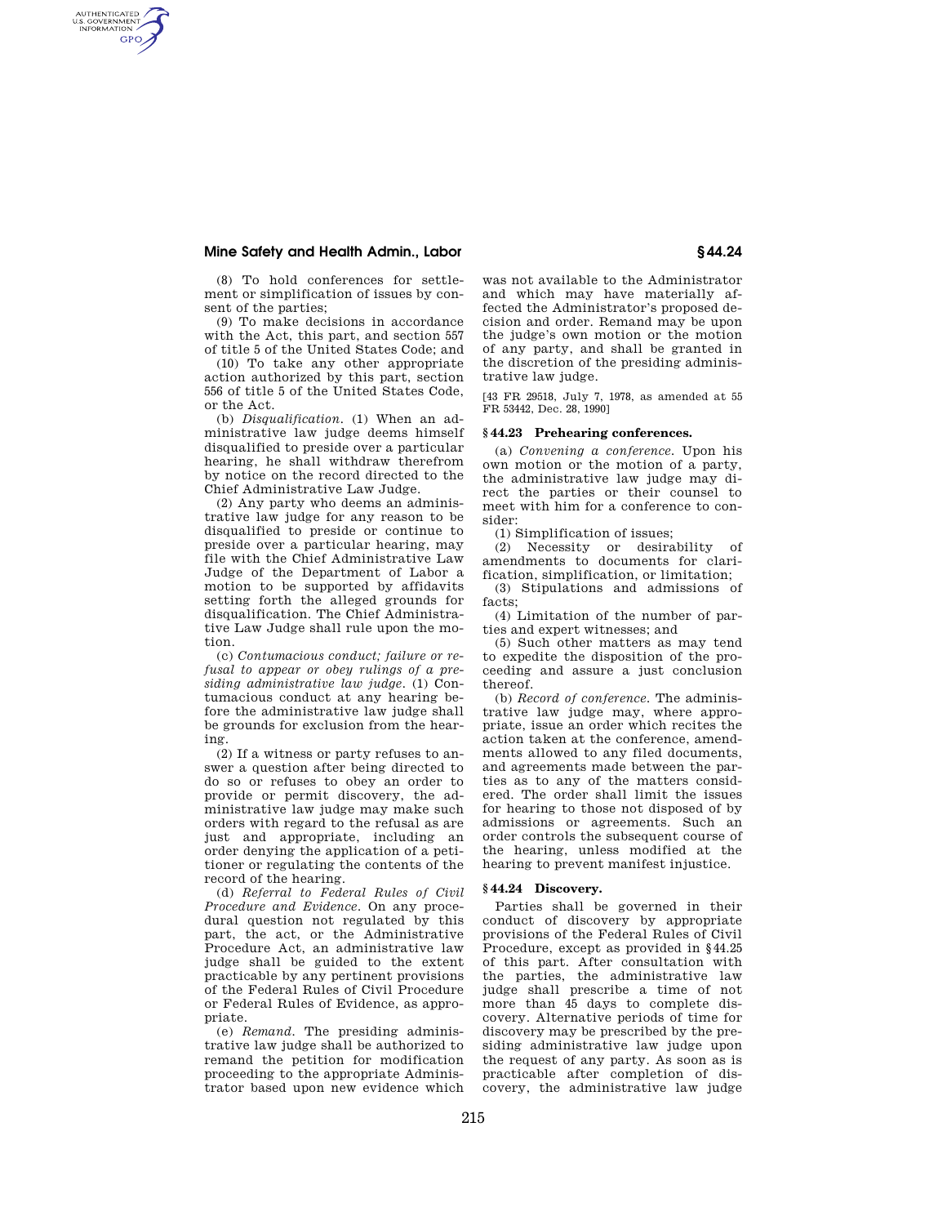## **Mine Safety and Health Admin., Labor § 44.24**

AUTHENTICATED<br>U.S. GOVERNMENT<br>INFORMATION **GPO** 

> (8) To hold conferences for settlement or simplification of issues by consent of the parties;

> (9) To make decisions in accordance with the Act, this part, and section 557 of title 5 of the United States Code; and

> (10) To take any other appropriate action authorized by this part, section 556 of title 5 of the United States Code, or the Act.

> (b) *Disqualification.* (1) When an administrative law judge deems himself disqualified to preside over a particular hearing, he shall withdraw therefrom by notice on the record directed to the Chief Administrative Law Judge.

> (2) Any party who deems an administrative law judge for any reason to be disqualified to preside or continue to preside over a particular hearing, may file with the Chief Administrative Law Judge of the Department of Labor a motion to be supported by affidavits setting forth the alleged grounds for disqualification. The Chief Administrative Law Judge shall rule upon the motion.

> (c) *Contumacious conduct; failure or refusal to appear or obey rulings of a presiding administrative law judge.* (1) Contumacious conduct at any hearing before the administrative law judge shall be grounds for exclusion from the hearing.

> (2) If a witness or party refuses to answer a question after being directed to do so or refuses to obey an order to provide or permit discovery, the administrative law judge may make such orders with regard to the refusal as are just and appropriate, including an order denying the application of a petitioner or regulating the contents of the record of the hearing.

> (d) *Referral to Federal Rules of Civil Procedure and Evidence.* On any procedural question not regulated by this part, the act, or the Administrative Procedure Act, an administrative law judge shall be guided to the extent practicable by any pertinent provisions of the Federal Rules of Civil Procedure or Federal Rules of Evidence, as appropriate.

> (e) *Remand.* The presiding administrative law judge shall be authorized to remand the petition for modification proceeding to the appropriate Administrator based upon new evidence which

was not available to the Administrator and which may have materially affected the Administrator's proposed decision and order. Remand may be upon the judge's own motion or the motion of any party, and shall be granted in the discretion of the presiding administrative law judge.

[43 FR 29518, July 7, 1978, as amended at 55 FR 53442, Dec. 28, 1990]

## **§ 44.23 Prehearing conferences.**

(a) *Convening a conference.* Upon his own motion or the motion of a party, the administrative law judge may direct the parties or their counsel to meet with him for a conference to consider:

(1) Simplification of issues;

(2) Necessity or desirability of amendments to documents for clarification, simplification, or limitation;

(3) Stipulations and admissions of facts;

(4) Limitation of the number of parties and expert witnesses; and

(5) Such other matters as may tend to expedite the disposition of the proceeding and assure a just conclusion thereof.

(b) *Record of conference.* The administrative law judge may, where appropriate, issue an order which recites the action taken at the conference, amendments allowed to any filed documents, and agreements made between the parties as to any of the matters considered. The order shall limit the issues for hearing to those not disposed of by admissions or agreements. Such an order controls the subsequent course of the hearing, unless modified at the hearing to prevent manifest injustice.

#### **§ 44.24 Discovery.**

Parties shall be governed in their conduct of discovery by appropriate provisions of the Federal Rules of Civil Procedure, except as provided in §44.25 of this part. After consultation with the parties, the administrative law judge shall prescribe a time of not more than 45 days to complete discovery. Alternative periods of time for discovery may be prescribed by the presiding administrative law judge upon the request of any party. As soon as is practicable after completion of discovery, the administrative law judge